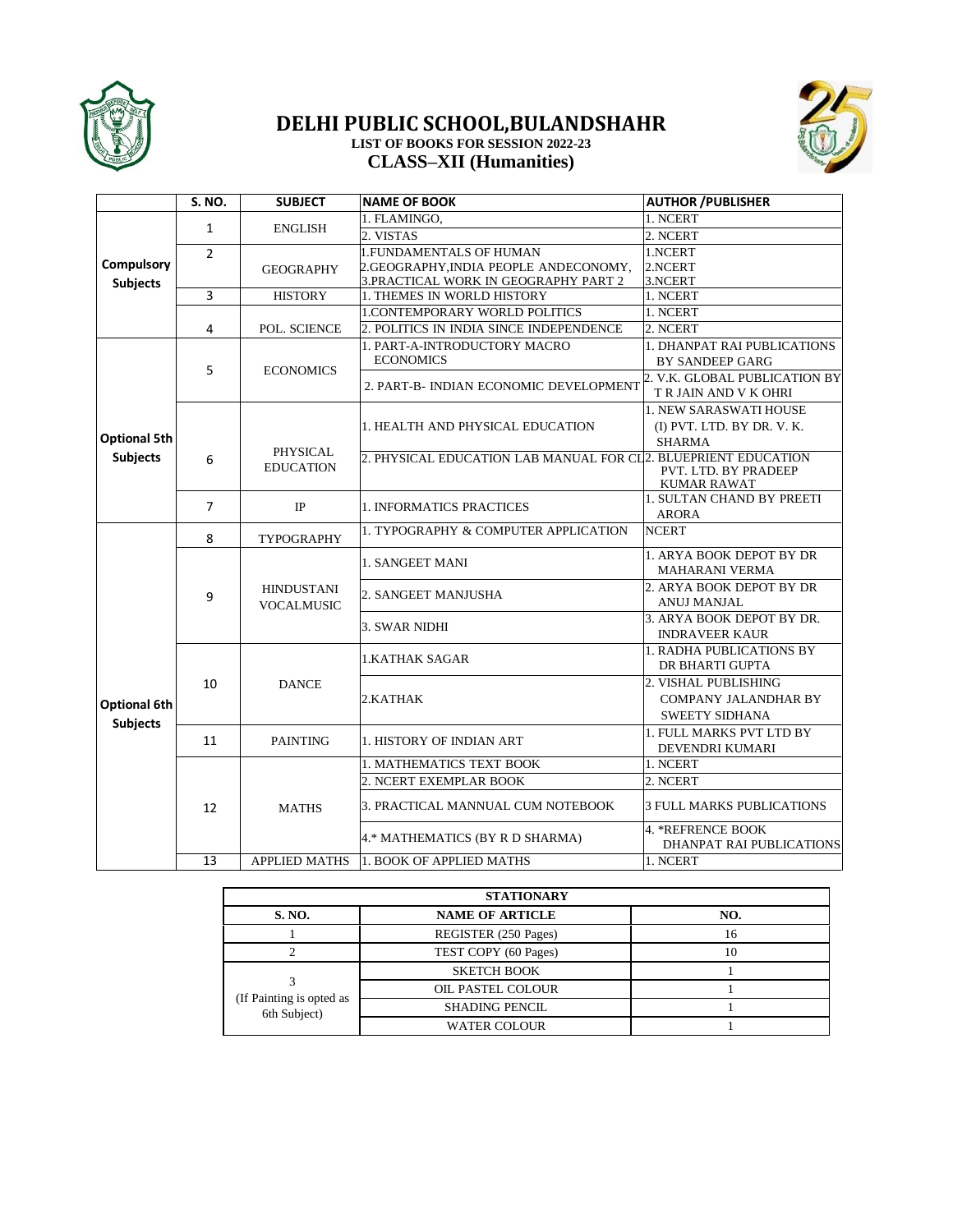

## **DELHI PUBLIC SCHOOL,BULANDSHAHR LIST OF BOOKS FOR SESSION 2022-23 CLASS–XII (Humanities)**



|                     | S. NO.         | <b>SUBJECT</b>                         | <b>NAME OF BOOK</b>                                            | <b>AUTHOR / PUBLISHER</b>                              |
|---------------------|----------------|----------------------------------------|----------------------------------------------------------------|--------------------------------------------------------|
|                     |                | <b>ENGLISH</b>                         | 1. FLAMINGO,                                                   | 1. NCERT                                               |
|                     | $\mathbf{1}$   |                                        | 2. VISTAS                                                      | 2. NCERT                                               |
|                     | $\overline{2}$ |                                        | 1. FUNDAMENTALS OF HUMAN                                       | 1.NCERT                                                |
| Compulsory          |                | <b>GEOGRAPHY</b>                       | 2.GEOGRAPHY, INDIA PEOPLE ANDECONOMY,                          | 2.NCERT                                                |
| <b>Subjects</b>     |                |                                        | 3. PRACTICAL WORK IN GEOGRAPHY PART 2                          | 3.NCERT                                                |
|                     | 3              | <b>HISTORY</b>                         | 1. THEMES IN WORLD HISTORY                                     | 1. NCERT                                               |
|                     |                |                                        | 1.CONTEMPORARY WORLD POLITICS                                  | 1. NCERT                                               |
|                     | 4              | POL. SCIENCE                           | 2. POLITICS IN INDIA SINCE INDEPENDENCE                        | 2. NCERT                                               |
|                     |                |                                        | 1. PART-A-INTRODUCTORY MACRO                                   | <b>1. DHANPAT RAI PUBLICATIONS</b>                     |
|                     | 5              | <b>ECONOMICS</b>                       | <b>ECONOMICS</b>                                               | <b>BY SANDEEP GARG</b>                                 |
|                     |                |                                        | 2. PART-B- INDIAN ECONOMIC DEVELOPMENT                         | 2. V.K. GLOBAL PUBLICATION BY<br>T R JAIN AND V K OHRI |
|                     |                |                                        |                                                                | 1. NEW SARASWATI HOUSE                                 |
|                     |                |                                        | 1. HEALTH AND PHYSICAL EDUCATION                               | (I) PVT. LTD. BY DR. V. K.                             |
| <b>Optional 5th</b> |                | <b>PHYSICAL</b>                        |                                                                | <b>SHARMA</b>                                          |
| <b>Subjects</b>     | 6              | <b>EDUCATION</b>                       | 2. PHYSICAL EDUCATION LAB MANUAL FOR CL2. BLUEPRIENT EDUCATION |                                                        |
|                     |                |                                        |                                                                | PVT. LTD. BY PRADEEP<br><b>KUMAR RAWAT</b>             |
|                     | $\overline{7}$ | IP                                     | 1. INFORMATICS PRACTICES                                       | <b>1. SULTAN CHAND BY PREETI</b>                       |
|                     |                |                                        |                                                                | <b>ARORA</b>                                           |
|                     | 8              | TYPOGRAPHY                             | 1. TYPOGRAPHY & COMPUTER APPLICATION                           | <b>NCERT</b>                                           |
|                     |                |                                        |                                                                | 1. ARYA BOOK DEPOT BY DR                               |
|                     |                | <b>HINDUSTANI</b><br><b>VOCALMUSIC</b> | 1. SANGEET MANI                                                | <b>MAHARANI VERMA</b>                                  |
|                     |                |                                        | 2. SANGEET MANJUSHA                                            | 2. ARYA BOOK DEPOT BY DR                               |
|                     | 9              |                                        |                                                                | <b>ANUJ MANJAL</b>                                     |
|                     |                |                                        | 3. SWAR NIDHI                                                  | 3. ARYA BOOK DEPOT BY DR.                              |
|                     |                |                                        |                                                                | <b>INDRAVEER KAUR</b>                                  |
|                     | 10             | <b>DANCE</b>                           | 1.KATHAK SAGAR                                                 | <b>1. RADHA PUBLICATIONS BY</b>                        |
|                     |                |                                        |                                                                | DR BHARTI GUPTA                                        |
|                     |                |                                        | 2.KATHAK                                                       | 2. VISHAL PUBLISHING                                   |
| <b>Optional 6th</b> |                |                                        |                                                                | <b>COMPANY JALANDHAR BY</b>                            |
| <b>Subjects</b>     |                |                                        |                                                                | <b>SWEETY SIDHANA</b>                                  |
|                     | 11             | <b>PAINTING</b>                        | 1. HISTORY OF INDIAN ART                                       | 1. FULL MARKS PVT LTD BY                               |
|                     |                |                                        | <b>1. MATHEMATICS TEXT BOOK</b>                                | DEVENDRI KUMARI                                        |
|                     |                |                                        | 2. NCERT EXEMPLAR BOOK                                         | 1. NCERT<br>2. NCERT                                   |
|                     | 12             | <b>MATHS</b>                           |                                                                |                                                        |
|                     |                |                                        | 3. PRACTICAL MANNUAL CUM NOTEBOOK                              | 3 FULL MARKS PUBLICATIONS                              |
|                     |                |                                        | 4.* MATHEMATICS (BY R D SHARMA)                                | 4. *REFRENCE BOOK                                      |
|                     |                |                                        |                                                                | DHANPAT RAI PUBLICATIONS                               |
|                     | 13             | <b>APPLIED MATHS</b>                   | 1. BOOK OF APPLIED MATHS                                       | 1. NCERT                                               |

| <b>STATIONARY</b>                        |                        |     |  |  |
|------------------------------------------|------------------------|-----|--|--|
| <b>S. NO.</b>                            | <b>NAME OF ARTICLE</b> | NO. |  |  |
|                                          | REGISTER (250 Pages)   | 16  |  |  |
|                                          | TEST COPY (60 Pages)   | 10  |  |  |
|                                          | <b>SKETCH BOOK</b>     |     |  |  |
|                                          | OIL PASTEL COLOUR      |     |  |  |
| (If Painting is opted as<br>6th Subject) | <b>SHADING PENCIL</b>  |     |  |  |
|                                          | <b>WATER COLOUR</b>    |     |  |  |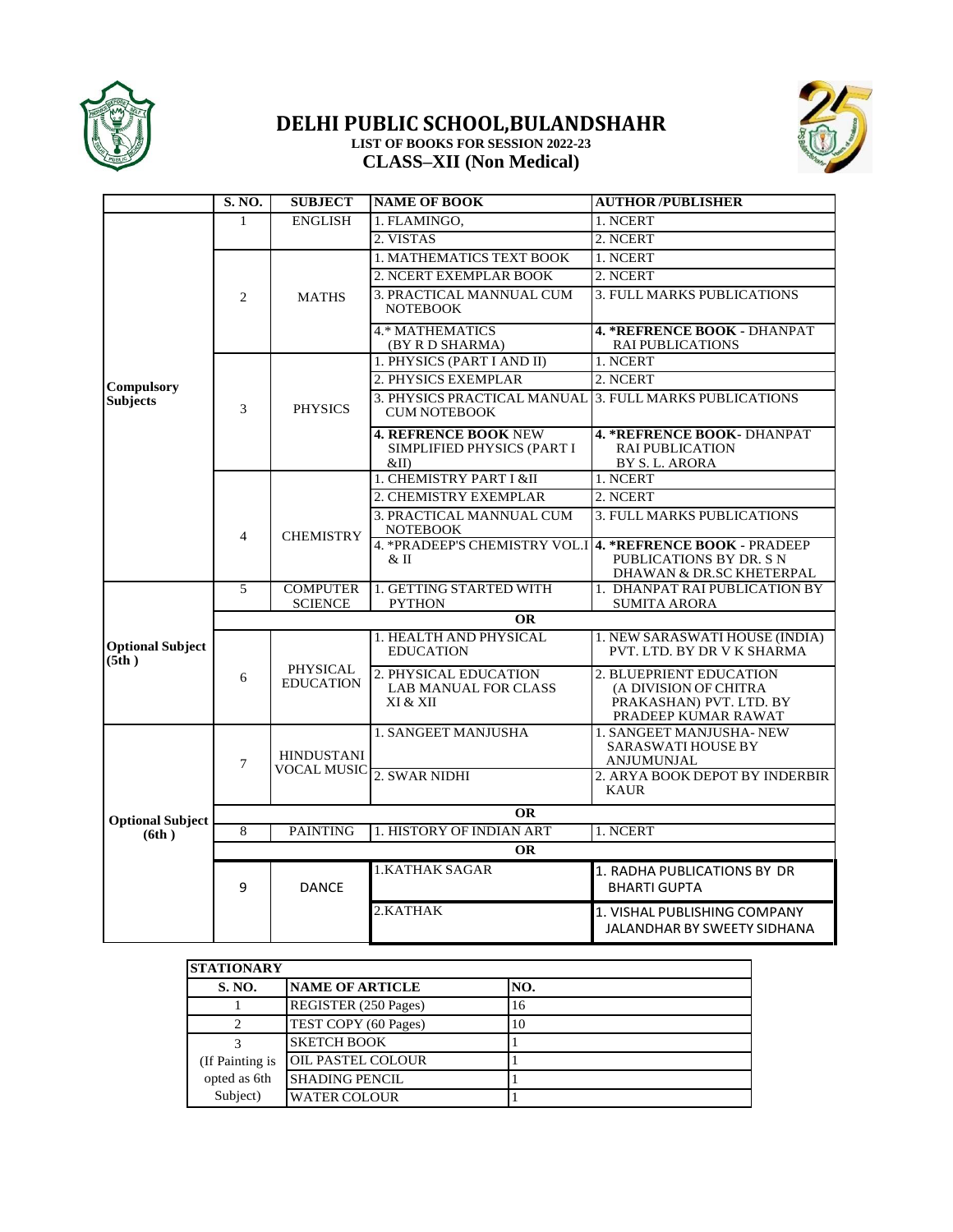

## **DELHI PUBLIC SCHOOL,BULANDSHAHR LIST OF BOOKS FOR SESSION 2022-23 CLASS–XII (Non Medical)**



|                                  | <b>S. NO.</b>                                            | <b>SUBJECT</b>                                                      | <b>NAME OF BOOK</b>                                                           | <b>AUTHOR/PUBLISHER</b>                                                            |  |  |
|----------------------------------|----------------------------------------------------------|---------------------------------------------------------------------|-------------------------------------------------------------------------------|------------------------------------------------------------------------------------|--|--|
|                                  | $\mathbf{1}$                                             | <b>ENGLISH</b>                                                      | 1. FLAMINGO.                                                                  | 1. NCERT                                                                           |  |  |
|                                  |                                                          |                                                                     | 2. VISTAS                                                                     | 2. NCERT                                                                           |  |  |
|                                  |                                                          |                                                                     | 1. MATHEMATICS TEXT BOOK                                                      | 1. NCERT                                                                           |  |  |
|                                  |                                                          |                                                                     | 2. NCERT EXEMPLAR BOOK                                                        | 2. NCERT                                                                           |  |  |
|                                  | 2                                                        | <b>MATHS</b>                                                        | 3. PRACTICAL MANNUAL CUM<br><b>NOTEBOOK</b>                                   | 3. FULL MARKS PUBLICATIONS                                                         |  |  |
|                                  |                                                          |                                                                     | <b>4.* MATHEMATICS</b><br>(BY R D SHARMA)                                     | <b>4. *REFRENCE BOOK - DHANPAT</b><br><b>RAI PUBLICATIONS</b>                      |  |  |
|                                  |                                                          |                                                                     | 1. PHYSICS (PART I AND II)                                                    | 1. NCERT                                                                           |  |  |
| <b>Compulsory</b>                |                                                          |                                                                     | 2. PHYSICS EXEMPLAR                                                           | 2. NCERT                                                                           |  |  |
| <b>Subjects</b>                  | 3                                                        | <b>PHYSICS</b>                                                      | 3. PHYSICS PRACTICAL MANUAL 3. FULL MARKS PUBLICATIONS<br><b>CUM NOTEBOOK</b> |                                                                                    |  |  |
|                                  |                                                          |                                                                     | <b>4. REFRENCE BOOK NEW</b><br>SIMPLIFIED PHYSICS (PART I<br>&II)             | 4. *REFRENCE BOOK- DHANPAT<br><b>RAI PUBLICATION</b><br>BY S.L. ARORA              |  |  |
|                                  |                                                          |                                                                     | 1. CHEMISTRY PART I &II                                                       | 1. NCERT                                                                           |  |  |
|                                  |                                                          |                                                                     | 2. CHEMISTRY EXEMPLAR                                                         | 2. NCERT                                                                           |  |  |
|                                  | $\overline{4}$                                           | <b>CHEMISTRY</b>                                                    | 3. PRACTICAL MANNUAL CUM<br><b>NOTEBOOK</b>                                   | <b>3. FULL MARKS PUBLICATIONS</b>                                                  |  |  |
|                                  |                                                          |                                                                     | 4. * PRADEEP'S CHEMISTRY VOL.I<br>$&$ II                                      | 4. *REFRENCE BOOK - PRADEEP<br>PUBLICATIONS BY DR. S N<br>DHAWAN & DR.SC KHETERPAL |  |  |
|                                  | 5                                                        | <b>COMPUTER</b>                                                     | 1. GETTING STARTED WITH                                                       | 1. DHANPAT RAI PUBLICATION BY                                                      |  |  |
|                                  |                                                          | <b>SCIENCE</b><br><b>PYTHON</b><br><b>SUMITA ARORA</b><br><b>OR</b> |                                                                               |                                                                                    |  |  |
|                                  | 1. HEALTH AND PHYSICAL<br>1. NEW SARASWATI HOUSE (INDIA) |                                                                     |                                                                               |                                                                                    |  |  |
| <b>Optional Subject</b><br>(5th) |                                                          |                                                                     | <b>EDUCATION</b>                                                              | PVT. LTD. BY DR V K SHARMA                                                         |  |  |
|                                  | 6                                                        | <b>PHYSICAL</b><br><b>EDUCATION</b>                                 | 2. PHYSICAL EDUCATION<br><b>LAB MANUAL FOR CLASS</b>                          | 2. BLUEPRIENT EDUCATION<br>(A DIVISION OF CHITRA                                   |  |  |
|                                  |                                                          |                                                                     | XI & XII                                                                      | PRAKASHAN) PVT. LTD. BY<br>PRADEEP KUMAR RAWAT                                     |  |  |
|                                  | $\overline{7}$                                           | <b>HINDUSTANI</b>                                                   | 1. SANGEET MANJUSHA                                                           | 1. SANGEET MANJUSHA-NEW<br>SARASWATI HOUSE BY<br><b>ANJUMUNJAL</b>                 |  |  |
|                                  |                                                          |                                                                     | VOCAL MUSIC 2. SWAR NIDHI                                                     | 2. ARYA BOOK DEPOT BY INDERBIR<br><b>KAUR</b>                                      |  |  |
| <b>Optional Subject</b>          |                                                          | <b>OR</b>                                                           |                                                                               |                                                                                    |  |  |
| (6th)                            | 8                                                        | <b>PAINTING</b>                                                     | 1. HISTORY OF INDIAN ART                                                      | 1. NCERT                                                                           |  |  |
|                                  |                                                          |                                                                     | <b>OR</b>                                                                     |                                                                                    |  |  |
|                                  | 9                                                        | <b>DANCE</b>                                                        | <b>1.KATHAK SAGAR</b>                                                         | 1. RADHA PUBLICATIONS BY DR<br><b>BHARTI GUPTA</b>                                 |  |  |
|                                  |                                                          |                                                                     | 2.KATHAK                                                                      | 1. VISHAL PUBLISHING COMPANY<br><b>JALANDHAR BY SWEETY SIDHANA</b>                 |  |  |

| <b>STATIONARY</b> |                          |     |  |  |
|-------------------|--------------------------|-----|--|--|
| <b>S. NO.</b>     | <b>NAME OF ARTICLE</b>   | NO. |  |  |
|                   | REGISTER (250 Pages)     | 16  |  |  |
|                   | TEST COPY (60 Pages)     | 10  |  |  |
|                   | <b>SKETCH BOOK</b>       |     |  |  |
| (If Painting is   | <b>OIL PASTEL COLOUR</b> |     |  |  |
| opted as 6th      | <b>SHADING PENCIL</b>    |     |  |  |
| Subject)          | <b>WATER COLOUR</b>      |     |  |  |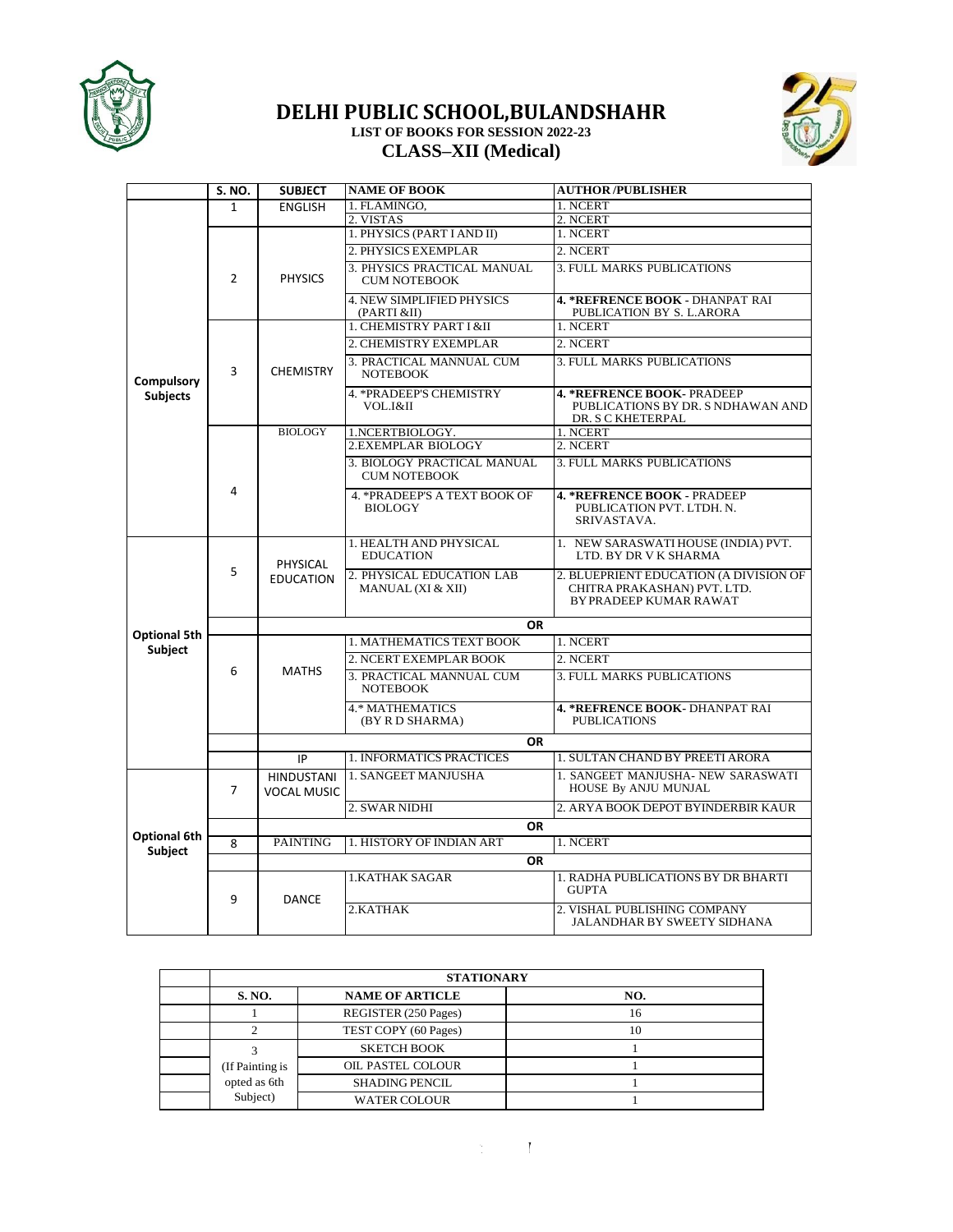

## **DELHI PUBLIC SCHOOL,BULANDSHAHR LIST OF BOOKS FOR SESSION 2022-23 CLASS–XII (Medical)**



|                     | S. NO.         | <b>SUBJECT</b>                          | <b>NAME OF BOOK</b>                                | <b>AUTHOR/PUBLISHER</b>                                                                         |
|---------------------|----------------|-----------------------------------------|----------------------------------------------------|-------------------------------------------------------------------------------------------------|
|                     | $\mathbf{1}$   | <b>ENGLISH</b>                          | 1. FLAMINGO,                                       | 1. NCERT                                                                                        |
|                     |                |                                         | 2. VISTAS                                          | 2. NCERT                                                                                        |
|                     |                |                                         | 1. PHYSICS (PART I AND II)                         | 1. NCERT                                                                                        |
|                     |                |                                         | 2. PHYSICS EXEMPLAR                                | 2. NCERT                                                                                        |
|                     | $\overline{2}$ | <b>PHYSICS</b>                          | 3. PHYSICS PRACTICAL MANUAL<br><b>CUM NOTEBOOK</b> | <b>3. FULL MARKS PUBLICATIONS</b>                                                               |
|                     |                |                                         | <b>4. NEW SIMPLIFIED PHYSICS</b><br>(PARTI &II)    | <b>4. *REFRENCE BOOK - DHANPAT RAI</b><br>PUBLICATION BY S. L.ARORA                             |
|                     |                |                                         | 1. CHEMISTRY PART I &II                            | 1. NCERT                                                                                        |
|                     |                |                                         | 2. CHEMISTRY EXEMPLAR                              | 2. NCERT                                                                                        |
| <b>Compulsory</b>   | 3              | <b>CHEMISTRY</b>                        | 3. PRACTICAL MANNUAL CUM<br><b>NOTEBOOK</b>        | 3. FULL MARKS PUBLICATIONS                                                                      |
| <b>Subjects</b>     |                |                                         | <b>4. * PRADEEP'S CHEMISTRY</b><br>VOL.I&II        | 4. * REFRENCE BOOK- PRADEEP<br>PUBLICATIONS BY DR. S NDHAWAN AND<br>DR. S C KHETERPAL           |
|                     |                | <b>BIOLOGY</b>                          | 1.NCERTBIOLOGY.                                    | 1. NCERT                                                                                        |
|                     |                |                                         | <b>2.EXEMPLAR BIOLOGY</b>                          | 2. NCERT                                                                                        |
|                     |                |                                         | 3. BIOLOGY PRACTICAL MANUAL<br><b>CUM NOTEBOOK</b> | <b>3. FULL MARKS PUBLICATIONS</b>                                                               |
|                     | 4              |                                         | 4. * PRADEEP'S A TEXT BOOK OF<br><b>BIOLOGY</b>    | <b>4. *REFRENCE BOOK - PRADEEP</b><br>PUBLICATION PVT. LTDH. N.<br>SRIVASTAVA.                  |
|                     |                | <b>PHYSICAL</b>                         | 1. HEALTH AND PHYSICAL<br><b>EDUCATION</b>         | 1. NEW SARASWATI HOUSE (INDIA) PVT.<br>LTD. BY DR V K SHARMA                                    |
|                     | 5              | <b>EDUCATION</b>                        | 2. PHYSICAL EDUCATION LAB<br>MANUAL (XI & XII)     | 2. BLUEPRIENT EDUCATION (A DIVISION OF<br>CHITRA PRAKASHAN) PVT. LTD.<br>BY PRADEEP KUMAR RAWAT |
|                     |                |                                         | <b>OR</b>                                          |                                                                                                 |
| <b>Optional 5th</b> |                |                                         | 1. MATHEMATICS TEXT BOOK                           | 1. NCERT                                                                                        |
| Subject             |                |                                         | 2. NCERT EXEMPLAR BOOK                             | 2. NCERT                                                                                        |
|                     | 6              | <b>MATHS</b>                            | 3. PRACTICAL MANNUAL CUM<br><b>NOTEBOOK</b>        | 3. FULL MARKS PUBLICATIONS                                                                      |
|                     |                |                                         | 4.* MATHEMATICS<br>(BY R D SHARMA)                 | 4. *REFRENCE BOOK- DHANPAT RAI<br><b>PUBLICATIONS</b>                                           |
|                     |                |                                         | <b>OR</b>                                          |                                                                                                 |
|                     |                | IP                                      | 1. INFORMATICS PRACTICES                           | 1. SULTAN CHAND BY PREETI ARORA                                                                 |
|                     | $\overline{7}$ | <b>HINDUSTANI</b><br><b>VOCAL MUSIC</b> | 1. SANGEET MANJUSHA                                | 1. SANGEET MANJUSHA- NEW SARASWATI<br>HOUSE By ANJU MUNJAL                                      |
|                     |                |                                         | 2. SWAR NIDHI                                      | 2. ARYA BOOK DEPOT BYINDERBIR KAUR                                                              |
|                     |                |                                         | <b>OR</b>                                          |                                                                                                 |
| Optional 6th        | 8              | <b>PAINTING</b>                         | 1. HISTORY OF INDIAN ART                           | 1. NCERT                                                                                        |
| Subject             |                |                                         | <b>OR</b>                                          |                                                                                                 |
|                     | 9              |                                         | <b>1.KATHAK SAGAR</b>                              | 1. RADHA PUBLICATIONS BY DR BHARTI<br><b>GUPTA</b>                                              |
|                     |                | <b>DANCE</b>                            | 2.KATHAK                                           | 2. VISHAL PUBLISHING COMPANY<br><b>JALANDHAR BY SWEETY SIDHANA</b>                              |

| <b>STATIONARY</b> |                        |     |  |  |
|-------------------|------------------------|-----|--|--|
| <b>S. NO.</b>     | <b>NAME OF ARTICLE</b> | NO. |  |  |
|                   | REGISTER (250 Pages)   | 16  |  |  |
|                   | TEST COPY (60 Pages)   | 10  |  |  |
|                   | <b>SKETCH BOOK</b>     |     |  |  |
| (If Painting is   | OIL PASTEL COLOUR      |     |  |  |
| opted as 6th      | <b>SHADING PENCIL</b>  |     |  |  |
| Subject)          | <b>WATER COLOUR</b>    |     |  |  |